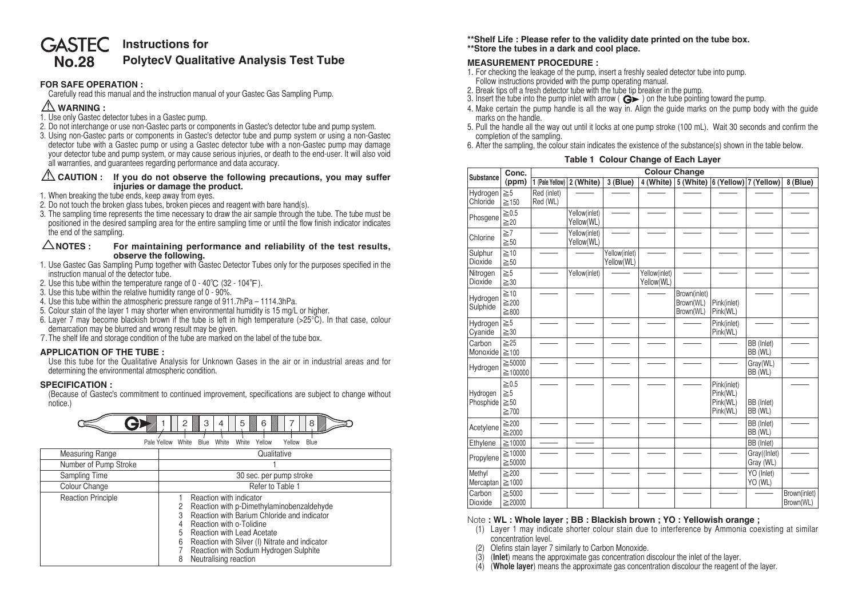# **No.28 GASTEC** Instructions for **PolytecⅤ Qualitative Analysis Test Tube**

#### **FOR SAFE OPERATION :**

 Carefully read this manual and the instruction manual of your Gastec Gas Sampling Pump.

# ⚠**WARNING :**

- 1. Use only Gastec detector tubes in a Gastec pump.
- 2. Do not interchange or use non-Gastec parts or components in Gastec's detector tube and pump system.
- 3. Using non-Gastec parts or components in Gastec's detector tube and pump system or using a non-Gastec detector tube with a Gastec pump or using a Gastec detector tube with a non-Gastec pump may damage your detector tube and pump system, or may cause serious injuries, or death to the end-user. It will also void all warranties, and guarantees regarding performance and data accuracy.

#### ⚠**CAUTION : If you do not observe the following precautions, you may suffer injuries or damage the product.**

- 1. When breaking the tube ends, keep away from eyes.
- 2. Do not touch the broken glass tubes, broken pieces and reagent with bare hand(s).
- 3. The sampling time represents the time necessary to draw the air sample through the tube. The tube must be positioned in the desired sampling area for the entire sampling time or until the flow finish indicator indicates the end of the sampling.

#### △**NOTES : For maintaining performance and reliability of the test results, observe the following.**

- 1. Use Gastec Gas Sampling Pump together with Gastec Detector Tubes only for the purposes specified in the instruction manual of the detector tube.
- 2. Use this tube within the temperature range of 0 40℃ (32 104°F).
- 3. Use this tube within the relative humidity range of 0 90%.
- 4. Use this tube within the atmospheric pressure range of 911.7hPa 1114.3hPa.
- 5. Colour stain of the layer 1 may shorter when environmental humidity is 15 mg/L or higher.
- 6. Layer 7 may become blackish brown if the tube is left in high temperature ( $>25^{\circ}$ C). In that case, colour demarcation may be blurred and wrong result may be given.
- 7. The shelf life and storage condition of the tube are marked on the label of the tube box.

## **APPLICATION OF THE TUBE :**

 Use this tube for the Qualitative Analysis for Unknown Gases in the air or in industrial areas and for determining the environmental atmospheric condition.

### **SPECIFICATION :**

 (Because of Gastec's commitment to continued improvement, specifications are subject to change without notice.)



| Measuring Range           | Qualitative                                                                                                                                                                                                                                                                                                       |  |  |  |  |  |  |  |
|---------------------------|-------------------------------------------------------------------------------------------------------------------------------------------------------------------------------------------------------------------------------------------------------------------------------------------------------------------|--|--|--|--|--|--|--|
| Number of Pump Stroke     |                                                                                                                                                                                                                                                                                                                   |  |  |  |  |  |  |  |
| Sampling Time             | 30 sec. per pump stroke                                                                                                                                                                                                                                                                                           |  |  |  |  |  |  |  |
| Colour Change             | Refer to Table 1                                                                                                                                                                                                                                                                                                  |  |  |  |  |  |  |  |
| <b>Reaction Principle</b> | Reaction with indicator<br>Reaction with p-Dimethylaminobenzaldehyde<br>Reaction with Barium Chloride and indicator<br>З<br>Reaction with o-Tolidine<br>Reaction with Lead Acetate<br>Reaction with Silver (I) Nitrate and indicator<br>6<br>Reaction with Sodium Hydrogen Sulphite<br>Neutralising reaction<br>8 |  |  |  |  |  |  |  |

**\*\*Shelf Life : Please refer to the validity date printed on the tube box. \*\*Store the tubes in a dark and cool place.**

## **MEASUREMENT PROCEDURE :**

- 1. For checking the leakage of the pump, insert a freshly sealed detector tube into pump. Follow instructions provided with the pump operating manual.<br>2. Break tips off a fresh detector tube with the tube tip breaker in the pump.
- 
- 2. Break the tube into the pump inlet with arrow ( $\mathbf{G}$ ) on the tube pointing toward the pump.
- 4. Make certain the pump handle is all the way in. Align the guide marks on the pump body with the guide marks on the handle.
- 5. Pull the handle all the way out until it locks at one pump stroke (100 mL). Wait 30 seconds and confirm the completion of the sampling.
- 6. After the sampling, the colour stain indicates the existence of the substance(s) shown in the table below.

|  | Table 1 Colour Change of Each Layer |  |  |
|--|-------------------------------------|--|--|
|--|-------------------------------------|--|--|

| Substance                  | Conc.<br>(ppm)                                    | <b>Colour Change</b>    |                             |                             |                             |                                        |                                                 |                           |                           |
|----------------------------|---------------------------------------------------|-------------------------|-----------------------------|-----------------------------|-----------------------------|----------------------------------------|-------------------------------------------------|---------------------------|---------------------------|
|                            |                                                   | 1 (Pale Yellow)         | 2 (White)                   | $3$ (Blue)                  | 4 (White)                   |                                        | 5 (White) 6 (Yellow) 7 (Yellow)                 |                           | 8 (Blue)                  |
| Hydrogen<br>Chloride       | $\geq 5$<br>$\geq$ 150                            | Red (inlet)<br>Red (WL) |                             |                             |                             |                                        |                                                 |                           |                           |
| Phosgene                   | $\geq 0.5$<br>$\geq 20$                           |                         | Yellow(inlet)<br>Yellow(WL) |                             |                             |                                        |                                                 |                           |                           |
| Chlorine                   | $\geq 7$<br>$\geq 50$                             |                         | Yellow(inlet)<br>Yellow(WL) |                             |                             |                                        |                                                 |                           |                           |
| Sulphur<br>Dioxide         | $\geq 10$<br>$\geq 50$                            |                         |                             | Yellow(inlet)<br>Yellow(WL) |                             |                                        |                                                 |                           |                           |
| Nitrogen<br>Dioxide        | $\geq 5$<br>$\geq 30$                             |                         | Yellow(inlet)               |                             | Yellow(inlet)<br>Yellow(WL) |                                        |                                                 |                           |                           |
| Hydrogen<br>Sulphide       | $\geq$ 10<br>$\geq 200$<br>$\geq 800$             |                         |                             |                             |                             | Brown(inlet)<br>Brown(WL)<br>Brown(WL) | Pink(inlet)<br>Pink(WL)                         |                           |                           |
| <b>Hydrogen</b><br>Cyanide | $\geq 5$<br>$\geq 30$                             |                         |                             |                             |                             |                                        | Pink(inlet)<br>Pink(WL)                         |                           |                           |
| Carbon<br>Monoxide         | $\geq 25$<br>$\geq 100$                           |                         |                             |                             |                             |                                        |                                                 | BB (Inlet)<br>BB (WL)     |                           |
| Hydrogen                   | $\geq 50000$<br>≥100000                           |                         |                             |                             |                             |                                        |                                                 | Gray(WL)<br>BB (WL)       |                           |
| Hydrogen<br>Phosphide      | $\geq 0.5$<br>$\geq 5$<br>$\geq 50$<br>$\geq 700$ |                         |                             |                             |                             |                                        | Pink(inlet)<br>Pink(WL)<br>Pink(WL)<br>Pink(WL) | BB (Inlet)<br>BB (WL)     |                           |
| Acetylene                  | $\geq$ 200<br>$\geq$ 2000                         |                         |                             |                             |                             |                                        |                                                 | BB (Inlet)<br>BB (WL)     |                           |
| Ethylene                   | $\geq$ 10000                                      |                         |                             |                             |                             |                                        |                                                 | BB (Inlet)                |                           |
| Propylene                  | $\geq 10000$<br>$\geq 50000$                      |                         |                             |                             |                             |                                        |                                                 | Gray((Inlet)<br>Gray (WL) |                           |
| Methyl<br>Mercaptan        | $\geq$ 200<br>$\geq$ 1000                         |                         |                             |                             |                             |                                        |                                                 | YO (Inlet)<br>YO (WL)     |                           |
| Carbon<br>Dioxide          | $\geq 5000$<br>≧20000                             |                         |                             |                             |                             |                                        |                                                 |                           | Brown(inlet)<br>Brown(WL) |

Note **: WL : Whole layer ; BB : Blackish brown ; YO : Yellowish orange ;**

- (1) Layer 1 may indicate shorter colour stain due to interference by Ammonia coexisting at similar concentration level.
- Olefins stain layer 7 similarly to Carbon Monoxide.
- (3) (**Inlet**) means the approximate gas concentration discolour the inlet of the layer.

(4) (**Whole layer**) means the approximate gas concentration discolour the reagent of the layer.